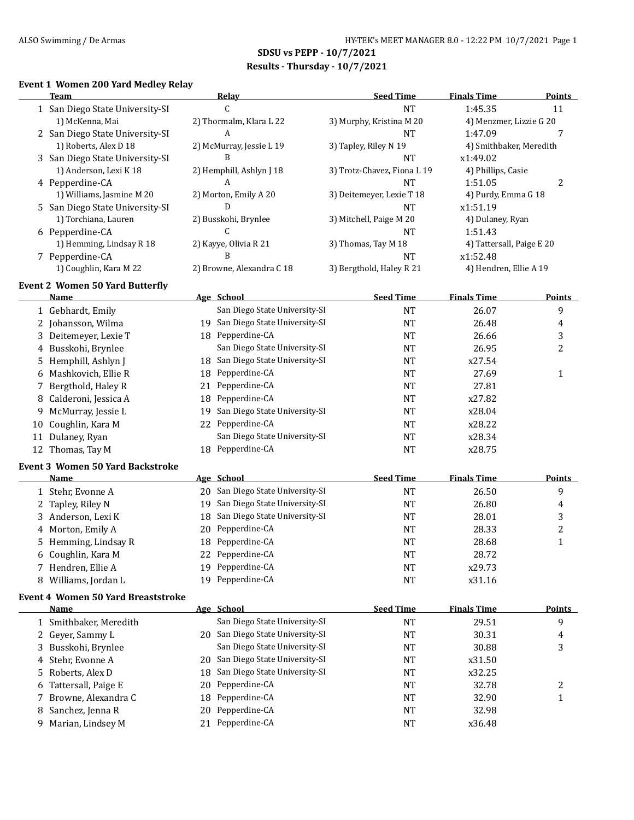**SDSU vs PEPP - 10/7/2021 Results - Thursday - 10/7/2021**

### **Event 1 Women 200 Yard Medley Relay**

|    | Team                                      |    | Relay                            | <b>Seed Time</b>            | <b>Finals Time</b>        | <b>Points</b> |
|----|-------------------------------------------|----|----------------------------------|-----------------------------|---------------------------|---------------|
|    | 1 San Diego State University-SI           |    | $\mathsf{C}$                     | <b>NT</b>                   | 1:45.35                   | 11            |
|    | 1) McKenna, Mai                           |    | 2) Thormalm, Klara L 22          | 3) Murphy, Kristina M 20    | 4) Menzmer, Lizzie G 20   |               |
|    | 2 San Diego State University-SI           |    | A                                | <b>NT</b>                   | 1:47.09                   | 7             |
|    | 1) Roberts, Alex D 18                     |    | 2) McMurray, Jessie L 19         | 3) Tapley, Riley N 19       | 4) Smithbaker, Meredith   |               |
|    | 3 San Diego State University-SI           |    | B                                | <b>NT</b>                   | x1:49.02                  |               |
|    | 1) Anderson, Lexi K 18                    |    | 2) Hemphill, Ashlyn J 18         | 3) Trotz-Chavez, Fiona L 19 | 4) Phillips, Casie        |               |
|    | 4 Pepperdine-CA                           |    | A                                | <b>NT</b>                   | 1:51.05                   | 2             |
|    | 1) Williams, Jasmine M 20                 |    | 2) Morton, Emily A 20            | 3) Deitemeyer, Lexie T 18   | 4) Purdy, Emma G 18       |               |
|    | 5 San Diego State University-SI           |    | D                                | <b>NT</b>                   | x1:51.19                  |               |
|    | 1) Torchiana, Lauren                      |    | 2) Busskohi, Brynlee             | 3) Mitchell, Paige M 20     | 4) Dulaney, Ryan          |               |
|    | 6 Pepperdine-CA                           |    | C                                | <b>NT</b>                   | 1:51.43                   |               |
|    | 1) Hemming, Lindsay R 18                  |    | 2) Kayye, Olivia R 21            | 3) Thomas, Tay M 18         | 4) Tattersall, Paige E 20 |               |
|    | 7 Pepperdine-CA                           |    | B                                | <b>NT</b>                   | x1:52.48                  |               |
|    | 1) Coughlin, Kara M 22                    |    | 2) Browne, Alexandra C 18        | 3) Bergthold, Haley R 21    | 4) Hendren, Ellie A 19    |               |
|    |                                           |    |                                  |                             |                           |               |
|    | <b>Event 2 Women 50 Yard Butterfly</b>    |    |                                  |                             |                           |               |
|    | <b>Name</b>                               |    | Age School                       | <b>Seed Time</b>            | <b>Finals Time</b>        | <b>Points</b> |
|    | 1 Gebhardt, Emily                         |    | San Diego State University-SI    | <b>NT</b>                   | 26.07                     | 9             |
| 2  | Johansson, Wilma                          |    | 19 San Diego State University-SI | <b>NT</b>                   | 26.48                     | 4             |
| 3  | Deitemeyer, Lexie T                       |    | 18 Pepperdine-CA                 | <b>NT</b>                   | 26.66                     | 3             |
| 4  | Busskohi, Brynlee                         |    | San Diego State University-SI    | <b>NT</b>                   | 26.95                     | 2             |
| 5  | Hemphill, Ashlyn J                        | 18 | San Diego State University-SI    | <b>NT</b>                   | x27.54                    |               |
| 6  | Mashkovich, Ellie R                       | 18 | Pepperdine-CA                    | <b>NT</b>                   | 27.69                     | 1             |
| 7  | Bergthold, Haley R                        | 21 | Pepperdine-CA                    | <b>NT</b>                   | 27.81                     |               |
| 8  | Calderoni, Jessica A                      | 18 | Pepperdine-CA                    | <b>NT</b>                   | x27.82                    |               |
| 9  | McMurray, Jessie L                        | 19 | San Diego State University-SI    | <b>NT</b>                   | x28.04                    |               |
| 10 | Coughlin, Kara M                          | 22 | Pepperdine-CA                    | <b>NT</b>                   | x28.22                    |               |
|    | 11 Dulaney, Ryan                          |    | San Diego State University-SI    | <b>NT</b>                   | x28.34                    |               |
|    | 12 Thomas, Tay M                          |    | 18 Pepperdine-CA                 | <b>NT</b>                   | x28.75                    |               |
|    | <b>Event 3 Women 50 Yard Backstroke</b>   |    |                                  |                             |                           |               |
|    | Name                                      |    | Age School                       | <b>Seed Time</b>            | <b>Finals Time</b>        | <b>Points</b> |
|    | 1 Stehr, Evonne A                         | 20 | San Diego State University-SI    | <b>NT</b>                   | 26.50                     | 9             |
| 2  | Tapley, Riley N                           | 19 | San Diego State University-SI    | <b>NT</b>                   | 26.80                     |               |
|    | Anderson, Lexi K                          |    | San Diego State University-SI    |                             |                           | 4             |
| 3  |                                           | 18 | Pepperdine-CA                    | <b>NT</b>                   | 28.01                     | 3             |
| 4  | Morton, Emily A                           | 20 |                                  | NT                          | 28.33                     | 2             |
| 5  | Hemming, Lindsay R                        | 18 | Pepperdine-CA                    | <b>NT</b>                   | 28.68                     | 1             |
| 6  | Coughlin, Kara M                          | 22 | Pepperdine-CA                    | <b>NT</b>                   | 28.72                     |               |
|    | 7 Hendren, Ellie A                        |    | 19 Pepperdine-CA                 | <b>NT</b>                   | x29.73                    |               |
|    | 8 Williams, Jordan L                      |    | 19 Pepperdine-CA                 | <b>NT</b>                   | x31.16                    |               |
|    | <b>Event 4 Women 50 Yard Breaststroke</b> |    |                                  |                             |                           |               |
|    | <u>Name</u>                               |    | Age School                       | <b>Seed Time</b>            | <b>Finals Time</b>        | <b>Points</b> |
|    | 1 Smithbaker, Meredith                    |    | San Diego State University-SI    | <b>NT</b>                   | 29.51                     | 9             |
| 2  | Geyer, Sammy L                            |    | 20 San Diego State University-SI | NT                          | 30.31                     | 4             |
| 3  | Busskohi, Brynlee                         |    | San Diego State University-SI    | <b>NT</b>                   | 30.88                     | 3             |
| 4  | Stehr, Evonne A                           | 20 | San Diego State University-SI    | NT                          | x31.50                    |               |
| 5  | Roberts, Alex D                           | 18 | San Diego State University-SI    | <b>NT</b>                   | x32.25                    |               |
| b  | Tattersall, Paige E                       | 20 | Pepperdine-CA                    | NT                          | 32.78                     | 2             |
| 7  | Browne, Alexandra C                       | 18 | Pepperdine-CA                    | <b>NT</b>                   | 32.90                     | 1             |
| 8  | Sanchez, Jenna R                          | 20 | Pepperdine-CA                    | <b>NT</b>                   | 32.98                     |               |
| 9  | Marian, Lindsey M                         | 21 | Pepperdine-CA                    | <b>NT</b>                   | x36.48                    |               |
|    |                                           |    |                                  |                             |                           |               |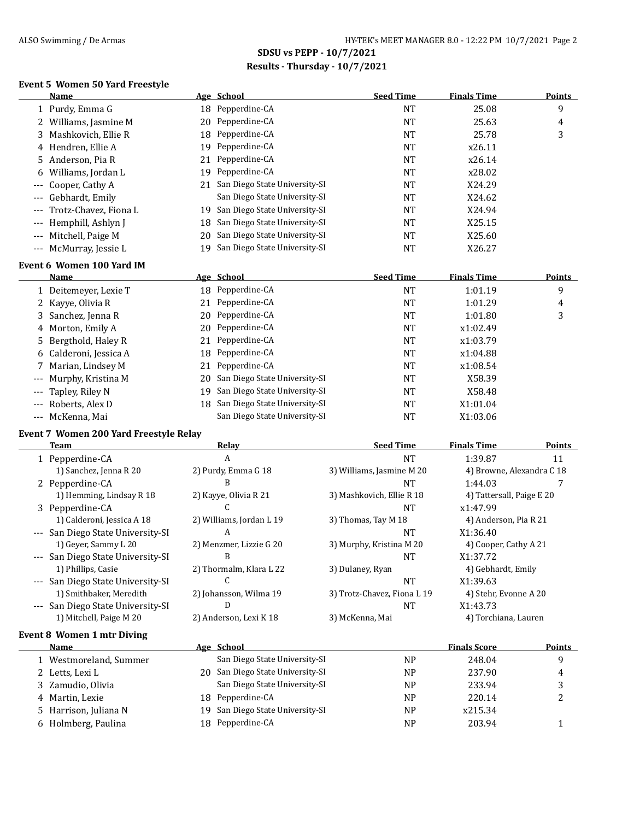# **SDSU vs PEPP - 10/7/2021 Results - Thursday - 10/7/2021**

# **Event 5 Women 50 Yard Freestyle**

| Name                          |                       |     | Age School                    | <b>Seed Time</b> | <b>Finals Time</b> | Points |
|-------------------------------|-----------------------|-----|-------------------------------|------------------|--------------------|--------|
| 1 Purdy, Emma G               |                       |     | 18 Pepperdine-CA              | <b>NT</b>        | 25.08              | 9      |
| 2 Williams, Jasmine M         |                       |     | 20 Pepperdine-CA              | NT               | 25.63              | 4      |
| 3 Mashkovich, Ellie R         |                       |     | 18 Pepperdine-CA              | NT               | 25.78              | 3      |
| 4 Hendren, Ellie A            |                       | 19. | Pepperdine-CA                 | NT               | x26.11             |        |
| 5 Anderson, Pia R             |                       |     | 21 Pepperdine-CA              | NT               | x26.14             |        |
| 6 Williams, Jordan L          |                       | 19  | Pepperdine-CA                 | NT               | x28.02             |        |
| --- Cooper, Cathy A           |                       | 21  | San Diego State University-SI | NT               | X24.29             |        |
| Gebhardt, Emily<br>$---$      |                       |     | San Diego State University-SI | NT               | X24.62             |        |
| $---$                         | Trotz-Chavez, Fiona L | 19. | San Diego State University-SI | NT               | X24.94             |        |
| --- Hemphill, Ashlyn J        |                       | 18  | San Diego State University-SI | NT               | X25.15             |        |
| Mitchell, Paige M<br>$\cdots$ |                       | 20  | San Diego State University-SI | NT               | X25.60             |        |
| --- McMurray, Jessie L        |                       | 19. | San Diego State University-SI | NT               | X26.27             |        |
| Event 6 Wemen 100 Vard IM     |                       |     |                               |                  |                    |        |

#### **Event 6 Women 100 Yard IM**

| <b>Name</b>            |    | Age School                       | <b>Seed Time</b> | <b>Finals Time</b> | <b>Points</b> |
|------------------------|----|----------------------------------|------------------|--------------------|---------------|
| 1 Deitemeyer, Lexie T  |    | 18 Pepperdine-CA                 | <b>NT</b>        | 1:01.19            | 9             |
| 2 Kayye, Olivia R      | 21 | Pepperdine-CA                    | NT               | 1:01.29            | 4             |
| 3 Sanchez, Jenna R     |    | 20 Pepperdine-CA                 | <b>NT</b>        | 1:01.80            | 3             |
| 4 Morton, Emily A      |    | 20 Pepperdine-CA                 | <b>NT</b>        | x1:02.49           |               |
| 5 Bergthold, Haley R   | 21 | Pepperdine-CA                    | <b>NT</b>        | x1:03.79           |               |
| 6 Calderoni, Jessica A |    | 18 Pepperdine-CA                 | <b>NT</b>        | x1:04.88           |               |
| 7 Marian, Lindsey M    |    | 21 Pepperdine-CA                 | NT               | x1:08.54           |               |
| --- Murphy, Kristina M |    | 20 San Diego State University-SI | <b>NT</b>        | X58.39             |               |
| --- Tapley, Riley N    | 19 | San Diego State University-SI    | <b>NT</b>        | X58.48             |               |
| --- Roberts, Alex D    |    | 18 San Diego State University-SI | <b>NT</b>        | X1:01.04           |               |
| --- McKenna, Mai       |    | San Diego State University-SI    | NT               | X1:03.06           |               |

## **Event 7 Women 200 Yard Freestyle Relay**

| Team                                   | Relay                    | <b>Seed Time</b>            | <b>Finals Time</b>        | <b>Points</b> |
|----------------------------------------|--------------------------|-----------------------------|---------------------------|---------------|
| 1 Pepperdine-CA                        | A                        | <b>NT</b>                   | 1:39.87                   | 11            |
| 1) Sanchez, Jenna R 20                 | 2) Purdy, Emma G 18      | 3) Williams, Jasmine M 20   | 4) Browne, Alexandra C 18 |               |
| 2 Pepperdine-CA                        | В                        | NT                          | 1:44.03                   |               |
| 1) Hemming, Lindsay R 18               | 2) Kayye, Olivia R 21    | 3) Mashkovich, Ellie R 18   | 4) Tattersall, Paige E 20 |               |
| 3 Pepperdine-CA                        |                          | NT                          | x1:47.99                  |               |
| 1) Calderoni, Jessica A 18             | 2) Williams, Jordan L 19 | 3) Thomas, Tay M 18         | 4) Anderson, Pia R 21     |               |
| --- San Diego State University-SI      | A                        | <b>NT</b>                   | X1:36.40                  |               |
| 1) Gever, Sammy L 20                   | 2) Menzmer, Lizzie G 20  | 3) Murphy, Kristina M 20    | 4) Cooper, Cathy A 21     |               |
| --- San Diego State University-SI      | B                        | NT                          | X1:37.72                  |               |
| 1) Phillips, Casie                     | 2) Thormalm, Klara L 22  | 3) Dulaney, Ryan            | 4) Gebhardt, Emily        |               |
| --- San Diego State University-SI      |                          | <b>NT</b>                   | X1:39.63                  |               |
| 1) Smithbaker, Meredith                | 2) Johansson, Wilma 19   | 3) Trotz-Chavez, Fiona L 19 | 4) Stehr, Evonne A 20     |               |
| --- San Diego State University-SI      | D                        | NT                          | X1:43.73                  |               |
| 1) Mitchell, Paige M 20                | 2) Anderson, Lexi K 18   | 3) McKenna, Mai             | 4) Torchiana, Lauren      |               |
| $E$ want $\theta$ , Waman 1 mtu Diving |                          |                             |                           |               |

| Event 8 women 1 mtr Diving |                                  |    |                     |        |
|----------------------------|----------------------------------|----|---------------------|--------|
| Name                       | Age School                       |    | <b>Finals Score</b> | Points |
| 1 Westmoreland, Summer     | San Diego State University-SI    | NP | 248.04              | q      |
| 2 Letts, Lexi L            | 20 San Diego State University-SI | NP | 237.90              | 4      |
| 3 Zamudio, Olivia          | San Diego State University-SI    | NP | 233.94              |        |
| 4 Martin, Lexie            | 18 Pepperdine-CA                 | NP | 220.14              |        |
| 5 Harrison, Juliana N      | 19 San Diego State University-SI | NP | x215.34             |        |
| 6 Holmberg, Paulina        | 18 Pepperdine-CA                 | NP | 203.94              |        |